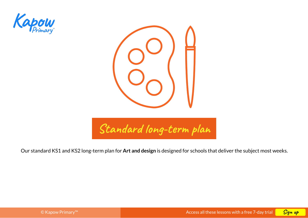



Our standard KS1 and KS2 long-term plan for **Art and design** is designed for schools that deliver the subject most weeks.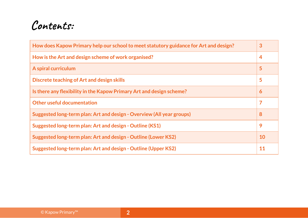# **Contents:**

| How does Kapow Primary help our school to meet statutory guidance for Art and design? |           |  |
|---------------------------------------------------------------------------------------|-----------|--|
| How is the Art and design scheme of work organised?                                   | 4         |  |
| A spiral curriculum                                                                   | 5         |  |
| Discrete teaching of Art and design skills                                            | 5         |  |
| Is there any flexibility in the Kapow Primary Art and design scheme?                  | 6         |  |
| <b>Other useful documentation</b>                                                     | 7         |  |
| Suggested long-term plan: Art and design - Overview (All year groups)                 | 8         |  |
| Suggested long-term plan: Art and design - Outline (KS1)                              | 9         |  |
| Suggested long-term plan: Art and design - Outline (Lower KS2)                        | <b>10</b> |  |
| Suggested long-term plan: Art and design - Outline (Upper KS2)                        | 11        |  |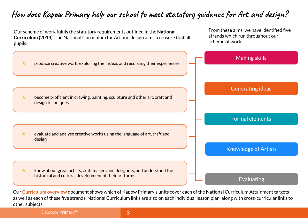## <span id="page-2-0"></span>**How does Kapow Primary help our school to meet statutory guidance for Art and design?**



Our **[Curriculum overview](https://www.kapowprimary.com/subjects/art-design/teaching-resource-materials/curriculum-overview/)** document shows which of Kapow Primary's units cover each of the National Curriculum Attainment targets as well as each of these five strands. National Curriculum links are also on each individual lesson plan, along with cross-curricular links to other subjects.

© Kapow Primary™ **3**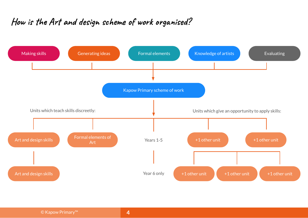## <span id="page-3-0"></span>**How is the Art and design scheme of work organised?**

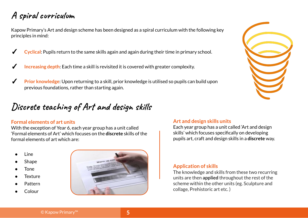## <span id="page-4-0"></span>**A spiral curriculum**

Kapow Primary's Art and design scheme has been designed as a spiral curriculum with the following key principles in mind:

- **Cyclical:** Pupils return to the same skills again and again during their time in primary school.
- **Increasing depth:** Each time a skill is revisited it is covered with greater complexity.
- ✓ **Prior knowledge**: Upon returning to a skill, prior knowledge is utilised so pupils can build upon previous foundations, rather than starting again.

## **Discrete teaching of Art and design skills**

#### **Formal elements of art units**

With the exception of Year 6, each year group has a unit called 'Formal elements of Art' which focuses on the **discrete** skills of the formal elements of art which are:

- Line
- Shape
- **Tone**
- **Texture**
- **Pattern**
- Colour



#### **Art and design skills units**

Each year group has a unit called 'Art and design skills' which focuses specifically on developing pupils art, craft and design skills in a **discrete** way.

#### **Application of skills**

The knowledge and skills from these two recurring units are then **applied** throughout the rest of the scheme within the other units (eg. Sculpture and collage, Prehistoric art etc. )

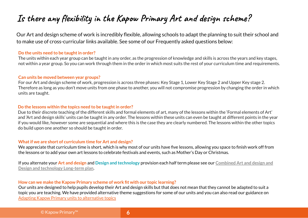## <span id="page-5-0"></span>**Is there any flexibility in the Kapow Primary Art and design scheme?**

Our Art and design scheme of work is incredibly flexible, allowing schools to adapt the planning to suit their school and to make use of cross-curricular links available. See some of our Frequently asked questions below:

#### **Do the units need to be taught in order?**

The units within each year group can be taught in any order, as the progression of knowledge and skills is across the years and key stages, not within a year group. So you can work through them in the order in which most suits the rest of your curriculum time and requirements.

#### **Can units be moved between year groups?**

For our Art and design scheme of work, progression is across three phases: Key Stage 1, Lower Key Stage 2 and Upper Key stage 2. Therefore as long as you don't move units from one phase to another, you will not compromise progression by changing the order in which units are taught.

#### **Do the lessons within the topics need to be taught in order?**

Due to their discrete teaching of the different skills and formal elements of art, many of the lessons within the 'Formal elements of Art' and 'Art and design skills' units can be taught in any order. The lessons within these units can even be taught at different points in the year if you would like, however some are sequential and where this is the case they are clearly numbered. The lessons within the other topics do build upon one another so should be taught in order.

#### **What if we are short of curriculum time for Art and design?**

We appreciate that curriculum time is short, which is why most of our units have five lessons, allowing you space to finish work off from the lessons or to add your own art lessons to celebrate festivals and events, such as Mother's Day or Christmas.

If you alternate your **Art and design** and **Design and technology** provision each half term please see our **[Combined Art and design and](https://www.kapowprimary.com/subjects/art-design/teaching-resource-materials/art-and-dt-combined-long-term-plan/) [Design and technology Long-term plan](https://www.kapowprimary.com/subjects/art-design/teaching-resource-materials/art-and-dt-combined-long-term-plan/)**.

#### **How can we make the Kapow Primary scheme of work fit with our topic learning?**

Our units are designed to help pupils develop their Art and design skills but that does not mean that they cannot be adapted to suit a topic you are teaching. We have provided alternative theme suggestions for some of our units and you can also read our guidance on [Adapting Kapow Primary units to alternative topics](https://www.kapowprimary.com/subjects/art-design/teaching-resource-materials/art-and-design-topics-and-themes/)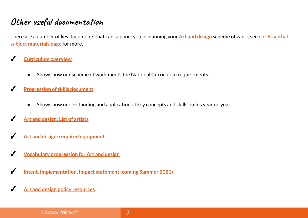### <span id="page-6-0"></span>**Other useful documentation**

There are a number of key documents that can support you in planning your **Art and design** scheme of work, see our **[Essential](https://www.kapowprimary.com/subjects/art-design/teaching-resource-materials/)  [subject materials page](https://www.kapowprimary.com/subjects/art-design/teaching-resource-materials/)** for more.

- ✓ **[Curriculum overview](https://www.kapowprimary.com/subjects/art-design/teaching-resource-materials/curriculum-overview/)**
	- Shows how our scheme of work meets the National Curriculum requirements.
- **[Progression of skills document](https://www.kapowprimary.com/subjects/art-design/teaching-resource-materials/pupil-progression-of-skills-featured-document/)** 
	- Shows how understanding and application of key concepts and skills builds year on year.
- **[Art and design: List of artists](https://www.kapowprimary.com/subjects/art-design/teaching-resource-materials/list-of-artists/)**
- **[Art and design: required equipment](https://www.kapowprimary.com/subjects/art-design/teaching-resource-materials/required-resources-art-design/)**
- **<u>[Vocabulary progression for Art and design](https://www.kapowprimary.com/subjects/art-design/teaching-resource-materials/vocabulary-progression-for-art-and-design/)</u>**
- ✓ **Intent, Implementation, Impact statement (coming Summer 2021)**
- **[Art and design policy resources](https://www.kapowprimary.com/subjects/art-design/teaching-resource-materials/art-design-policy-resources/)**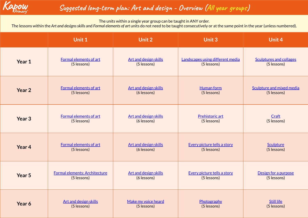<span id="page-7-0"></span>

### **Suggested long-term plan: Art and design - Overview (All year groups)**

The units within a single year group can be taught in ANY order.

The lessons within the *Art and designs skills* and *Formal elements of art* units do not need to be taught consecutively or at the same point in the year (unless numbered).

|                   | <b>Unit 1</b>                 | Unit 2                       | <b>Unit 3</b>                    | Unit 4                         |
|-------------------|-------------------------------|------------------------------|----------------------------------|--------------------------------|
| Year 1            | Formal elements of art        | <b>Art and design skills</b> | Landscapes using different media | <b>Sculptures and collages</b> |
|                   | (5 lessons)                   | (5 lessons)                  | (5 lessons)                      | (5 lessons)                    |
| Year 2            | Formal elements of art        | Art and design skills        | <b>Human form</b>                | Sculpture and mixed media      |
|                   | (5 lessons)                   | (6 lessons)                  | (5 lessons)                      | (5 lessons)                    |
| Year <sub>3</sub> | Formal elements of art        | <b>Art and design skills</b> | Prehistoric art                  | Craft                          |
|                   | (5 lessons)                   | (6 lessons)                  | (5 lessons)                      | (5 lessons)                    |
| Year 4            | Formal elements of art        | <b>Art and design skills</b> | Every picture tells a story      | Sculpture                      |
|                   | (5 lessons)                   | (6 lessons)                  | (5 lessons)                      | (5 lessons)                    |
| Year 5            | Formal elements: Architecture | <b>Art and design skills</b> | Every picture tells a story      | Design for a purpose           |
|                   | (5 lessons)                   | (6 lessons)                  | (5 lessons)                      | (5 lessons)                    |
| Year 6            | <b>Art and design skills</b>  | Make my voice heard          | Photography                      | <b>Still life</b>              |
|                   | (5 lessons)                   | (5 lessons)                  | (5 lessons)                      | (5 lessons)                    |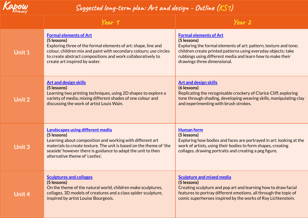<span id="page-8-0"></span>

### **Suggested long-term plan: Art and design - Outline (KS1)**

|        | Year 1                                                                                                                                                                                                                                                                                        | Year 2                                                                                                                                                                                                                                                                         |
|--------|-----------------------------------------------------------------------------------------------------------------------------------------------------------------------------------------------------------------------------------------------------------------------------------------------|--------------------------------------------------------------------------------------------------------------------------------------------------------------------------------------------------------------------------------------------------------------------------------|
| Unit 1 | <b>Formal elements of Art</b><br>(5 lessons)<br>Exploring three of the formal elements of art: shape, line and<br>colour, children mix and paint with secondary colours; use circles<br>to create abstract compositions and work collaboratively to<br>create art inspired by water.          | <b>Formal elements of Art</b><br>(5 lessons)<br>Exploring the formal elements of art: pattern, texture and tone;<br>children create printed patterns using everyday objects; take<br>rubbings using different media and learn how to make their<br>drawings three dimensional. |
| Unit 2 | <b>Art and design skills</b><br>(5 lessons)<br>Learning two printing techniques, using 2D shapes to explore a<br>variety of media, mixing different shades of one colour and<br>discussing the work of artist Louis Wain.                                                                     | <b>Art and design skills</b><br>(6 lessons)<br>Replicating the recognisable crockery of Clarice Cliff, exploring<br>tone through shading, developing weaving skills, manipulating clay<br>and experimenting with brush strokes.                                                |
| Unit 3 | <b>Landscapes using different media</b><br>(5 lessons)<br>Learning about composition and working with different art<br>materials to create texture. The unit is based on the theme of 'the<br>seaside' however there is guidance to adapt the unit to then<br>alternative theme of 'castles'. | <b>Human form</b><br>(5 lessons)<br>Exploring how bodies and faces are portrayed in art: looking at the<br>work of artists, using their bodies to form shapes, creating<br>collages, drawing portraits and creating a peg figure.                                              |
| Unit 4 | <b>Sculptures and collages</b><br>(5 lessons)<br>On the theme of the natural world, children make sculptures,<br>collages, 3D models of creatures and a class spider sculpture,<br>inspired by artist Louise Bourgeois.                                                                       | <b>Sculpture and mixed media</b><br>(5 lessons)<br>Creating sculpture and pop art and learning how to draw facial<br>features to portray different emotions, all through the topic of<br>comic superheroes inspired by the works of Roy Lichtenstein.                          |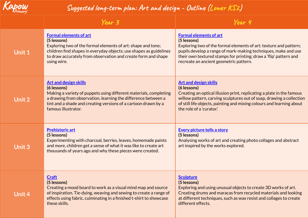<span id="page-9-0"></span>

### **Suggested long-term plan: Art and design - Outline (Lower KS2)**

|               | Year 3                                                                                                                                                                                                                                                                     | Year 4                                                                                                                                                                                                                                                                                             |
|---------------|----------------------------------------------------------------------------------------------------------------------------------------------------------------------------------------------------------------------------------------------------------------------------|----------------------------------------------------------------------------------------------------------------------------------------------------------------------------------------------------------------------------------------------------------------------------------------------------|
| Unit 1        | <b>Formal elements of art</b><br>(5 lessons)<br>Exploring two of the formal elements of art: shape and tone;<br>children find shapes in everyday objects; use shapes as guidelines<br>to draw accurately from observation and create form and shape<br>using wire.         | <b>Formal elements of art</b><br>(5 lessons)<br>Exploring two of the formal elements of art: texture and pattern;<br>pupils develop a range of mark-making techniques, make and use<br>their own textured stamps for printing; draw a 'flip' pattern and<br>recreate an ancient geometric pattern. |
| <b>Unit 2</b> | <b>Art and design skills</b><br>(6 lessons)<br>Making a variety of puppets using different materials, completing<br>a drawing from observation, learning the difference between a<br>tint and a shade and creating versions of a cartoon drawn by a<br>famous illustrator. | <b>Art and design skills</b><br>(6 lessons)<br>Creating an optical illusion print, replicating a plate in the famous<br>willow pattern, carving sculptures out of soap, drawing a collection<br>of still life objects, painting and mixing colours and learning about<br>the role of a 'curator.'  |
| <b>Unit 3</b> | <b>Prehistoric art</b><br>(5 lessons)<br>Experimenting with charcoal, berries, leaves, homemade paints<br>and more, children get a sense of what it was like to create art<br>thousands of years ago and why these pieces were created.                                    | <b>Every picture tells a story</b><br>(5 lessons)<br>Analysing works of art and creating photo collages and abstract<br>art inspired by the works explored.                                                                                                                                        |
| Unit 4        | <b>Craft</b><br>(5 lessons)<br>Creating a mood board to work as a visual mind map and source<br>of inspiration. Tie-dying, weaving and sewing to create a range of<br>effects using fabric, culminating in a finished t-shirt to showcase<br>these skills.                 | <b>Sculpture</b><br>(5 lessons)<br>Exploring and using unusual objects to create 3D works of art.<br>Creating drums and maracas from recycled materials and looking<br>at different techniques, such as wax resist and collages to create<br>different effects.                                    |